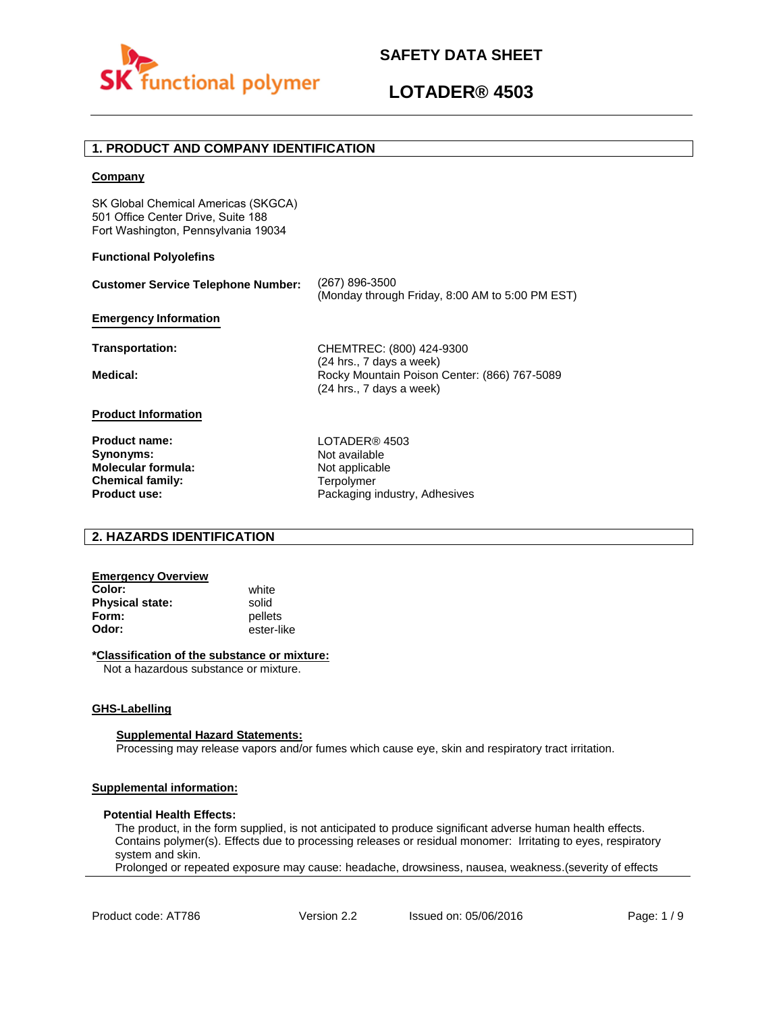



# **LOTADER® 4503**

## **1. PRODUCT AND COMPANY IDENTIFICATION**

#### **Company**

SK Global Chemical Americas (SKGCA) 501 Office Center Drive, Suite 188 Fort Washington, Pennsylvania 19034

### **Functional Polyolefins**

| <b>Customer Service Telephone Number:</b> | (267) 896-3500<br>(Monday through Friday, 8:00 AM to 5:00 PM EST)        |
|-------------------------------------------|--------------------------------------------------------------------------|
| <b>Emergency Information</b>              |                                                                          |
| Transportation:                           | CHEMTREC: (800) 424-9300<br>(24 hrs., 7 days a week)                     |
| Medical:                                  | Rocky Mountain Poison Center: (866) 767-5089<br>(24 hrs., 7 days a week) |
| <b>Product Information</b>                |                                                                          |
| <b>Product name:</b><br>Synonyms:         | LOTADER® 4503<br>Not available                                           |

**Molecular formula: Chemical family: Product use:**

Not applicable **Terpolymer** Packaging industry, Adhesives

## **2. HAZARDS IDENTIFICATION**

## **Emergency Overview**

**Color:** white **Physical state:** solid<br> **Form:** nellet **Form:** pellets<br> **Odor:** ester-li

**Odor:** ester-like

### **\*Classification of the substance or mixture:**

Not a hazardous substance or mixture.

#### **GHS-Labelling**

#### **Supplemental Hazard Statements:**

Processing may release vapors and/or fumes which cause eye, skin and respiratory tract irritation.

## **Supplemental information:**

#### **Potential Health Effects:**

The product, in the form supplied, is not anticipated to produce significant adverse human health effects. Contains polymer(s). Effects due to processing releases or residual monomer: Irritating to eyes, respiratory system and skin.

Prolonged or repeated exposure may cause: headache, drowsiness, nausea, weakness.(severity of effects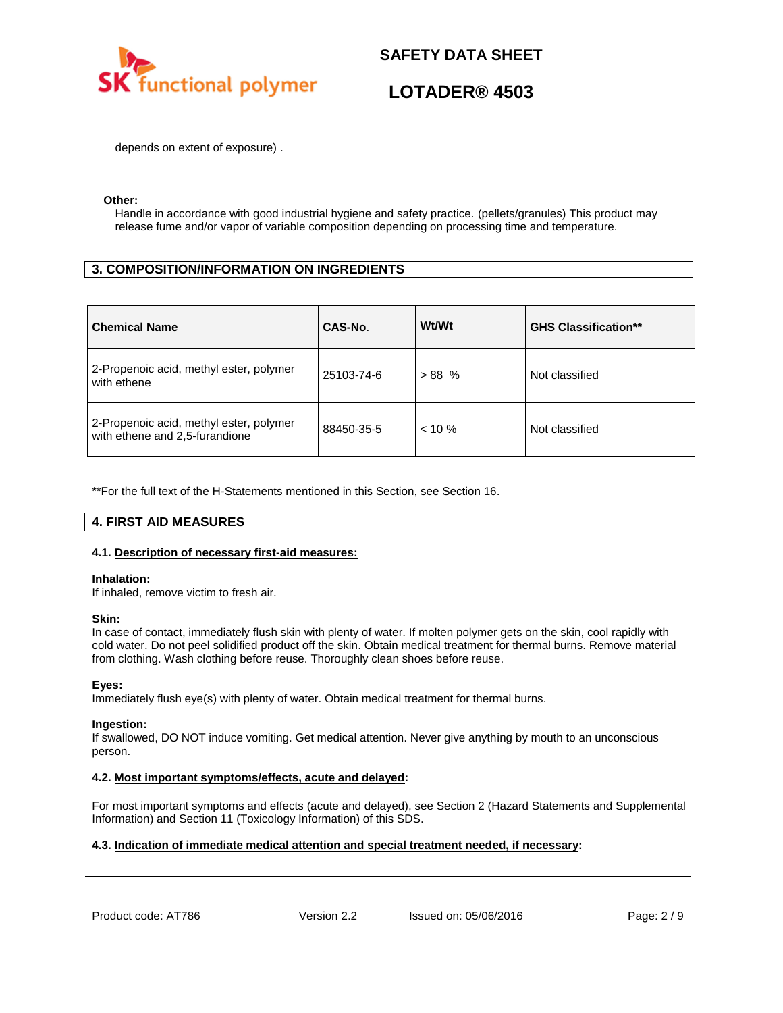

# **LOTADER® 4503**

depends on extent of exposure) .

### **Other:**

Handle in accordance with good industrial hygiene and safety practice. (pellets/granules) This product may release fume and/or vapor of variable composition depending on processing time and temperature.

# **3. COMPOSITION/INFORMATION ON INGREDIENTS**

| <b>Chemical Name</b>                                                      | CAS-No.    | Wt/Wt     | <b>GHS Classification**</b> |
|---------------------------------------------------------------------------|------------|-----------|-----------------------------|
| 2-Propenoic acid, methyl ester, polymer<br>with ethene                    | 25103-74-6 | $> 88$ %  | Not classified              |
| 2-Propenoic acid, methyl ester, polymer<br>with ethene and 2,5-furandione | 88450-35-5 | $< 10 \%$ | Not classified              |

\*\*For the full text of the H-Statements mentioned in this Section, see Section 16.

### **4. FIRST AID MEASURES**

#### **4.1. Description of necessary first-aid measures:**

#### **Inhalation:**

If inhaled, remove victim to fresh air.

#### **Skin:**

In case of contact, immediately flush skin with plenty of water. If molten polymer gets on the skin, cool rapidly with cold water. Do not peel solidified product off the skin. Obtain medical treatment for thermal burns. Remove material from clothing. Wash clothing before reuse. Thoroughly clean shoes before reuse.

#### **Eyes:**

Immediately flush eye(s) with plenty of water. Obtain medical treatment for thermal burns.

#### **Ingestion:**

If swallowed, DO NOT induce vomiting. Get medical attention. Never give anything by mouth to an unconscious person.

### **4.2. Most important symptoms/effects, acute and delayed:**

For most important symptoms and effects (acute and delayed), see Section 2 (Hazard Statements and Supplemental Information) and Section 11 (Toxicology Information) of this SDS.

## **4.3. Indication of immediate medical attention and special treatment needed, if necessary:**

Product code: AT786 Version 2.2 Issued on: 05/06/2016 Page: 2/9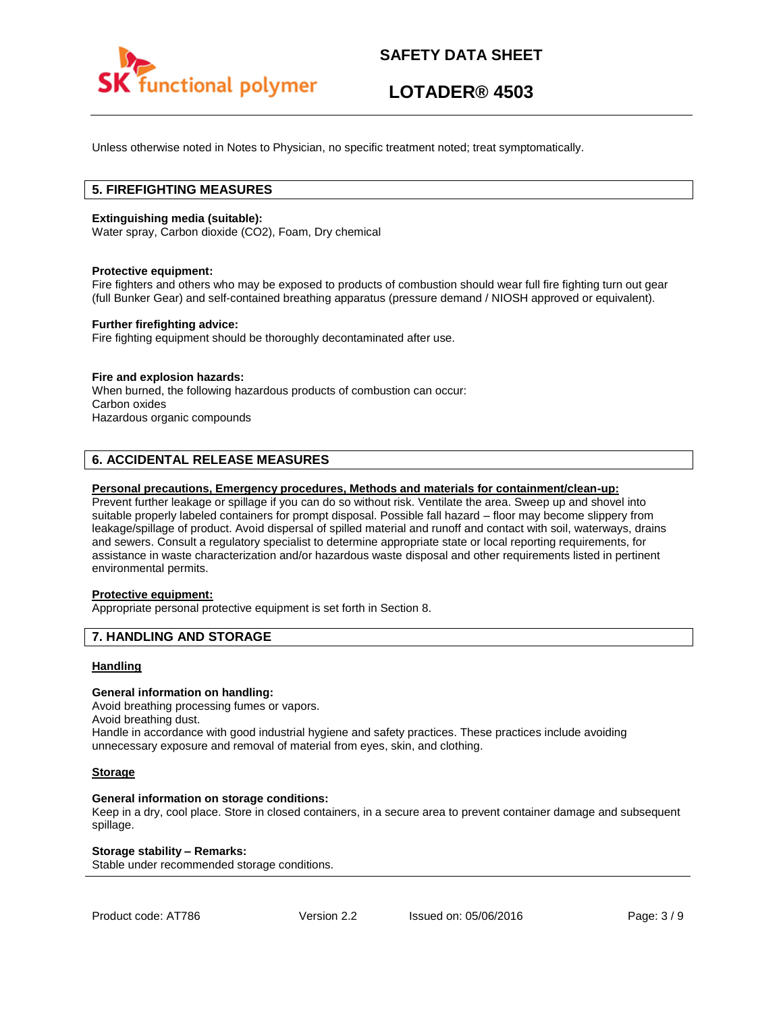

# **LOTADER® 4503**

Unless otherwise noted in Notes to Physician, no specific treatment noted; treat symptomatically.

## **5. FIREFIGHTING MEASURES**

### **Extinguishing media (suitable):**

Water spray, Carbon dioxide (CO2), Foam, Dry chemical

#### **Protective equipment:**

Fire fighters and others who may be exposed to products of combustion should wear full fire fighting turn out gear (full Bunker Gear) and self-contained breathing apparatus (pressure demand / NIOSH approved or equivalent).

#### **Further firefighting advice:**

Fire fighting equipment should be thoroughly decontaminated after use.

### **Fire and explosion hazards:**

When burned, the following hazardous products of combustion can occur: Carbon oxides Hazardous organic compounds

## **6. ACCIDENTAL RELEASE MEASURES**

#### **Personal precautions, Emergency procedures, Methods and materials for containment/clean-up:**

Prevent further leakage or spillage if you can do so without risk. Ventilate the area. Sweep up and shovel into suitable properly labeled containers for prompt disposal. Possible fall hazard – floor may become slippery from leakage/spillage of product. Avoid dispersal of spilled material and runoff and contact with soil, waterways, drains and sewers. Consult a regulatory specialist to determine appropriate state or local reporting requirements, for assistance in waste characterization and/or hazardous waste disposal and other requirements listed in pertinent environmental permits.

## **Protective equipment:**

Appropriate personal protective equipment is set forth in Section 8.

### **7. HANDLING AND STORAGE**

#### **Handling**

#### **General information on handling:**

Avoid breathing processing fumes or vapors.

Avoid breathing dust.

Handle in accordance with good industrial hygiene and safety practices. These practices include avoiding unnecessary exposure and removal of material from eyes, skin, and clothing.

#### **Storage**

#### **General information on storage conditions:**

Keep in a dry, cool place. Store in closed containers, in a secure area to prevent container damage and subsequent spillage.

#### **Storage stability – Remarks:**

Stable under recommended storage conditions.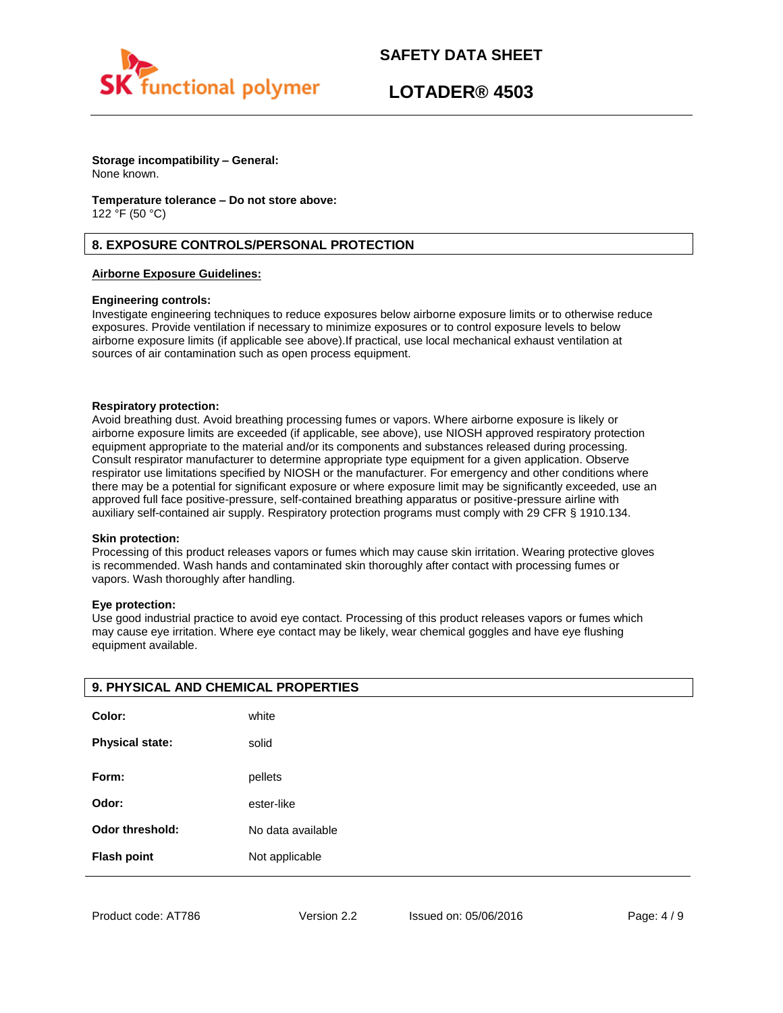

# **LOTADER® 4503**

**Storage incompatibility – General:**  None known.

**Temperature tolerance – Do not store above:** 122 °F (50 °C)

## **8. EXPOSURE CONTROLS/PERSONAL PROTECTION**

### **Airborne Exposure Guidelines:**

### **Engineering controls:**

Investigate engineering techniques to reduce exposures below airborne exposure limits or to otherwise reduce exposures. Provide ventilation if necessary to minimize exposures or to control exposure levels to below airborne exposure limits (if applicable see above).If practical, use local mechanical exhaust ventilation at sources of air contamination such as open process equipment.

#### **Respiratory protection:**

Avoid breathing dust. Avoid breathing processing fumes or vapors. Where airborne exposure is likely or airborne exposure limits are exceeded (if applicable, see above), use NIOSH approved respiratory protection equipment appropriate to the material and/or its components and substances released during processing. Consult respirator manufacturer to determine appropriate type equipment for a given application. Observe respirator use limitations specified by NIOSH or the manufacturer. For emergency and other conditions where there may be a potential for significant exposure or where exposure limit may be significantly exceeded, use an approved full face positive-pressure, self-contained breathing apparatus or positive-pressure airline with auxiliary self-contained air supply. Respiratory protection programs must comply with 29 CFR § 1910.134.

#### **Skin protection:**

Processing of this product releases vapors or fumes which may cause skin irritation. Wearing protective gloves is recommended. Wash hands and contaminated skin thoroughly after contact with processing fumes or vapors. Wash thoroughly after handling.

#### **Eye protection:**

Use good industrial practice to avoid eye contact. Processing of this product releases vapors or fumes which may cause eye irritation. Where eye contact may be likely, wear chemical goggles and have eye flushing equipment available.

| 9. PHYSICAL AND CHEMICAL PROPERTIES |                   |  |
|-------------------------------------|-------------------|--|
| Color:                              | white             |  |
| <b>Physical state:</b>              | solid             |  |
|                                     |                   |  |
| Form:                               | pellets           |  |
| Odor:                               | ester-like        |  |
| <b>Odor threshold:</b>              | No data available |  |
| <b>Flash point</b>                  | Not applicable    |  |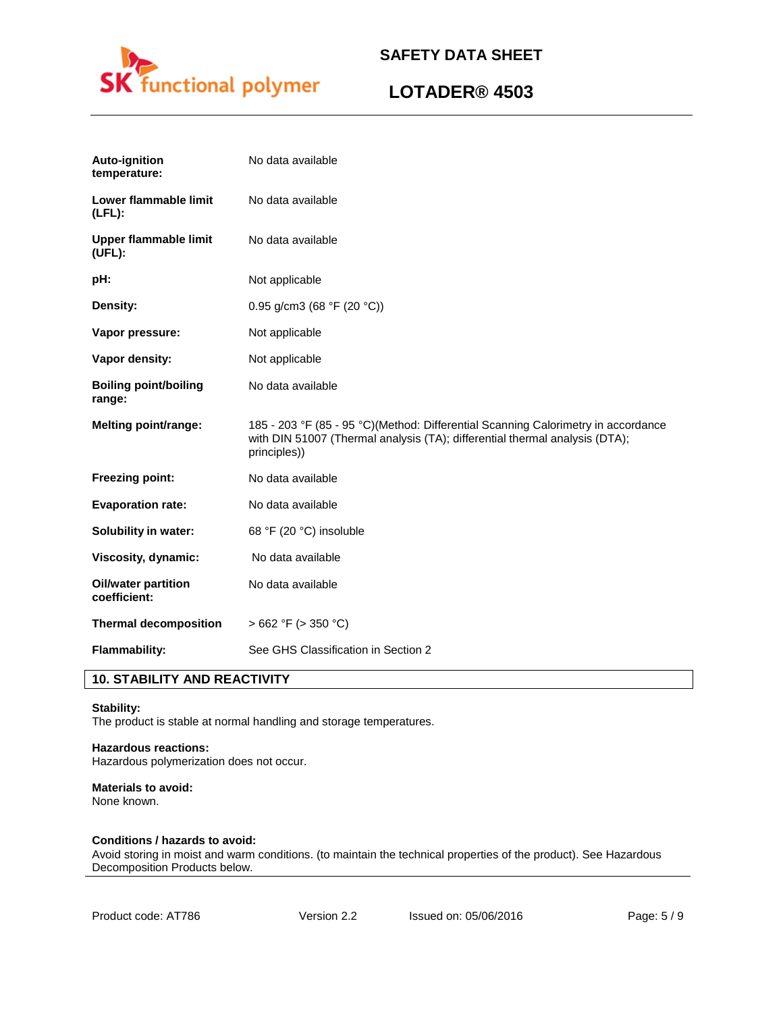

# **LOTADER® 4503**

| <b>Auto-ignition</b><br>temperature:       | No data available                                                                                                                                                                |
|--------------------------------------------|----------------------------------------------------------------------------------------------------------------------------------------------------------------------------------|
| Lower flammable limit<br>$(LFL)$ :         | No data available                                                                                                                                                                |
| <b>Upper flammable limit</b><br>(UEL):     | No data available                                                                                                                                                                |
| pH:                                        | Not applicable                                                                                                                                                                   |
| Density:                                   | 0.95 g/cm3 (68 °F (20 °C))                                                                                                                                                       |
| Vapor pressure:                            | Not applicable                                                                                                                                                                   |
| Vapor density:                             | Not applicable                                                                                                                                                                   |
| <b>Boiling point/boiling</b><br>range:     | No data available                                                                                                                                                                |
|                                            |                                                                                                                                                                                  |
| Melting point/range:                       | 185 - 203 °F (85 - 95 °C)(Method: Differential Scanning Calorimetry in accordance<br>with DIN 51007 (Thermal analysis (TA); differential thermal analysis (DTA);<br>principles)) |
| <b>Freezing point:</b>                     | No data available                                                                                                                                                                |
| <b>Evaporation rate:</b>                   | No data available                                                                                                                                                                |
| Solubility in water:                       | 68 °F (20 °C) insoluble                                                                                                                                                          |
| Viscosity, dynamic:                        | No data available                                                                                                                                                                |
| <b>Oil/water partition</b><br>coefficient: | No data available                                                                                                                                                                |
| <b>Thermal decomposition</b>               | $>662$ °F ( $>350$ °C)                                                                                                                                                           |

# **10. STABILITY AND REACTIVITY**

#### **Stability:**

The product is stable at normal handling and storage temperatures.

## **Hazardous reactions:**

Hazardous polymerization does not occur.

### **Materials to avoid:**

None known.

### **Conditions / hazards to avoid:**

Avoid storing in moist and warm conditions. (to maintain the technical properties of the product). See Hazardous Decomposition Products below.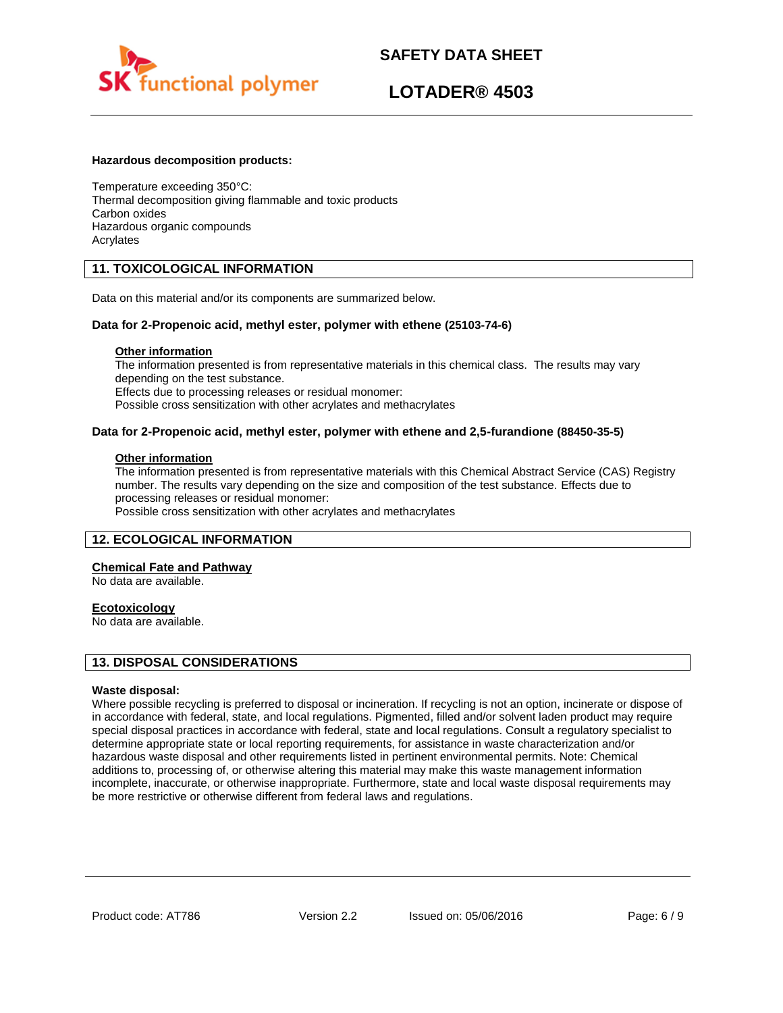

# **LOTADER® 4503**

### **Hazardous decomposition products:**

Temperature exceeding 350°C: Thermal decomposition giving flammable and toxic products Carbon oxides Hazardous organic compounds Acrylates

## **11. TOXICOLOGICAL INFORMATION**

Data on this material and/or its components are summarized below.

### **Data for 2-Propenoic acid, methyl ester, polymer with ethene (25103-74-6)**

## **Other information**

The information presented is from representative materials in this chemical class. The results may vary depending on the test substance. Effects due to processing releases or residual monomer: Possible cross sensitization with other acrylates and methacrylates

### **Data for 2-Propenoic acid, methyl ester, polymer with ethene and 2,5-furandione (88450-35-5)**

#### **Other information**

The information presented is from representative materials with this Chemical Abstract Service (CAS) Registry number. The results vary depending on the size and composition of the test substance. Effects due to processing releases or residual monomer:

Possible cross sensitization with other acrylates and methacrylates

### **12. ECOLOGICAL INFORMATION**

#### **Chemical Fate and Pathway**

No data are available.

#### **Ecotoxicology**

No data are available.

## **13. DISPOSAL CONSIDERATIONS**

#### **Waste disposal:**

Where possible recycling is preferred to disposal or incineration. If recycling is not an option, incinerate or dispose of in accordance with federal, state, and local regulations. Pigmented, filled and/or solvent laden product may require special disposal practices in accordance with federal, state and local regulations. Consult a regulatory specialist to determine appropriate state or local reporting requirements, for assistance in waste characterization and/or hazardous waste disposal and other requirements listed in pertinent environmental permits. Note: Chemical additions to, processing of, or otherwise altering this material may make this waste management information incomplete, inaccurate, or otherwise inappropriate. Furthermore, state and local waste disposal requirements may be more restrictive or otherwise different from federal laws and regulations.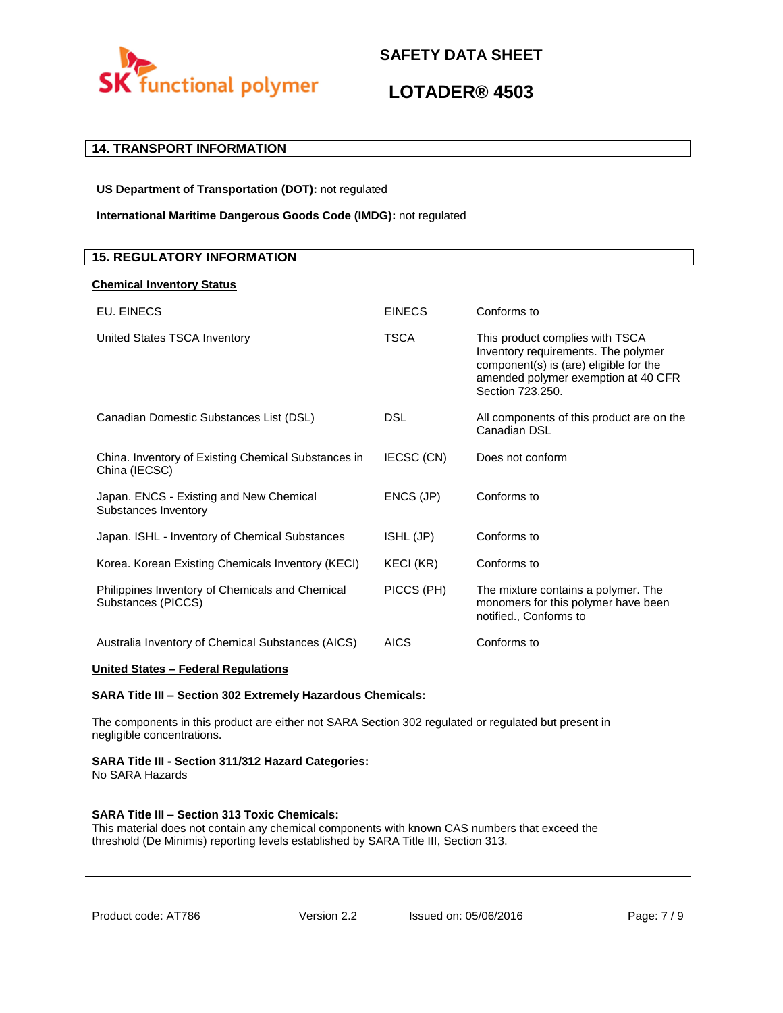

# **LOTADER® 4503**

# **14. TRANSPORT INFORMATION**

**US Department of Transportation (DOT):** not regulated

**International Maritime Dangerous Goods Code (IMDG):** not regulated

## **15. REGULATORY INFORMATION**

## **Chemical Inventory Status**

| EU. EINECS                                                            | <b>EINECS</b> | Conforms to                                                                                                                                                                 |
|-----------------------------------------------------------------------|---------------|-----------------------------------------------------------------------------------------------------------------------------------------------------------------------------|
| United States TSCA Inventory                                          | <b>TSCA</b>   | This product complies with TSCA<br>Inventory requirements. The polymer<br>component(s) is (are) eligible for the<br>amended polymer exemption at 40 CFR<br>Section 723.250. |
| Canadian Domestic Substances List (DSL)                               | <b>DSL</b>    | All components of this product are on the<br>Canadian DSL                                                                                                                   |
| China. Inventory of Existing Chemical Substances in<br>China (IECSC)  | IECSC (CN)    | Does not conform                                                                                                                                                            |
| Japan. ENCS - Existing and New Chemical<br>Substances Inventory       | ENCS (JP)     | Conforms to                                                                                                                                                                 |
| Japan. ISHL - Inventory of Chemical Substances                        | ISHL (JP)     | Conforms to                                                                                                                                                                 |
| Korea. Korean Existing Chemicals Inventory (KECI)                     | KECI (KR)     | Conforms to                                                                                                                                                                 |
| Philippines Inventory of Chemicals and Chemical<br>Substances (PICCS) | PICCS (PH)    | The mixture contains a polymer. The<br>monomers for this polymer have been<br>notified., Conforms to                                                                        |
| Australia Inventory of Chemical Substances (AICS)                     | <b>AICS</b>   | Conforms to                                                                                                                                                                 |

## **United States – Federal Regulations**

### **SARA Title III – Section 302 Extremely Hazardous Chemicals:**

The components in this product are either not SARA Section 302 regulated or regulated but present in negligible concentrations.

## **SARA Title III - Section 311/312 Hazard Categories:**

No SARA Hazards

### **SARA Title III – Section 313 Toxic Chemicals:**

This material does not contain any chemical components with known CAS numbers that exceed the threshold (De Minimis) reporting levels established by SARA Title III, Section 313.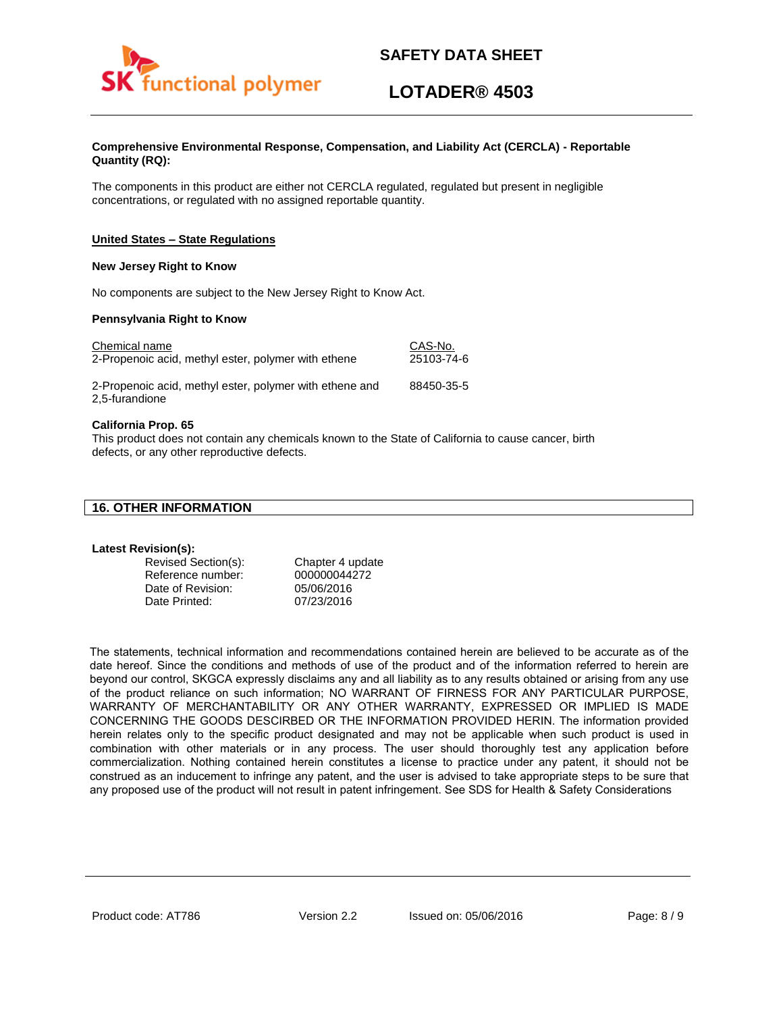

# **LOTADER® 4503**

### **Comprehensive Environmental Response, Compensation, and Liability Act (CERCLA) - Reportable Quantity (RQ):**

The components in this product are either not CERCLA regulated, regulated but present in negligible concentrations, or regulated with no assigned reportable quantity.

## **United States – State Regulations**

#### **New Jersey Right to Know**

No components are subject to the New Jersey Right to Know Act.

### **Pennsylvania Right to Know**

| Chemical name                                                             | CAS-No.    |
|---------------------------------------------------------------------------|------------|
| 2-Propenoic acid, methyl ester, polymer with ethene                       | 25103-74-6 |
| 2-Propenoic acid, methyl ester, polymer with ethene and<br>2,5-furandione | 88450-35-5 |

### **California Prop. 65**

This product does not contain any chemicals known to the State of California to cause cancer, birth defects, or any other reproductive defects.

### **Latest Revision(s):**

| Revised Section(s): | Chapter 4 update |
|---------------------|------------------|
| Reference number:   | 000000044272     |
| Date of Revision:   | 05/06/2016       |
| Date Printed:       | 07/23/2016       |

The statements, technical information and recommendations contained herein are believed to be accurate as of the date hereof. Since the conditions and methods of use of the product and of the information referred to herein are beyond our control, SKGCA expressly disclaims any and all liability as to any results obtained or arising from any use of the product reliance on such information; NO WARRANT OF FIRNESS FOR ANY PARTICULAR PURPOSE, WARRANTY OF MERCHANTABILITY OR ANY OTHER WARRANTY, EXPRESSED OR IMPLIED IS MADE CONCERNING THE GOODS DESCIRBED OR THE INFORMATION PROVIDED HERIN. The information provided herein relates only to the specific product designated and may not be applicable when such product is used in combination with other materials or in any process. The user should thoroughly test any application before commercialization. Nothing contained herein constitutes a license to practice under any patent, it should not be construed as an inducement to infringe any patent, and the user is advised to take appropriate steps to be sure that any proposed use of the product will not result in patent infringement. See SDS for Health & Safety Considerations